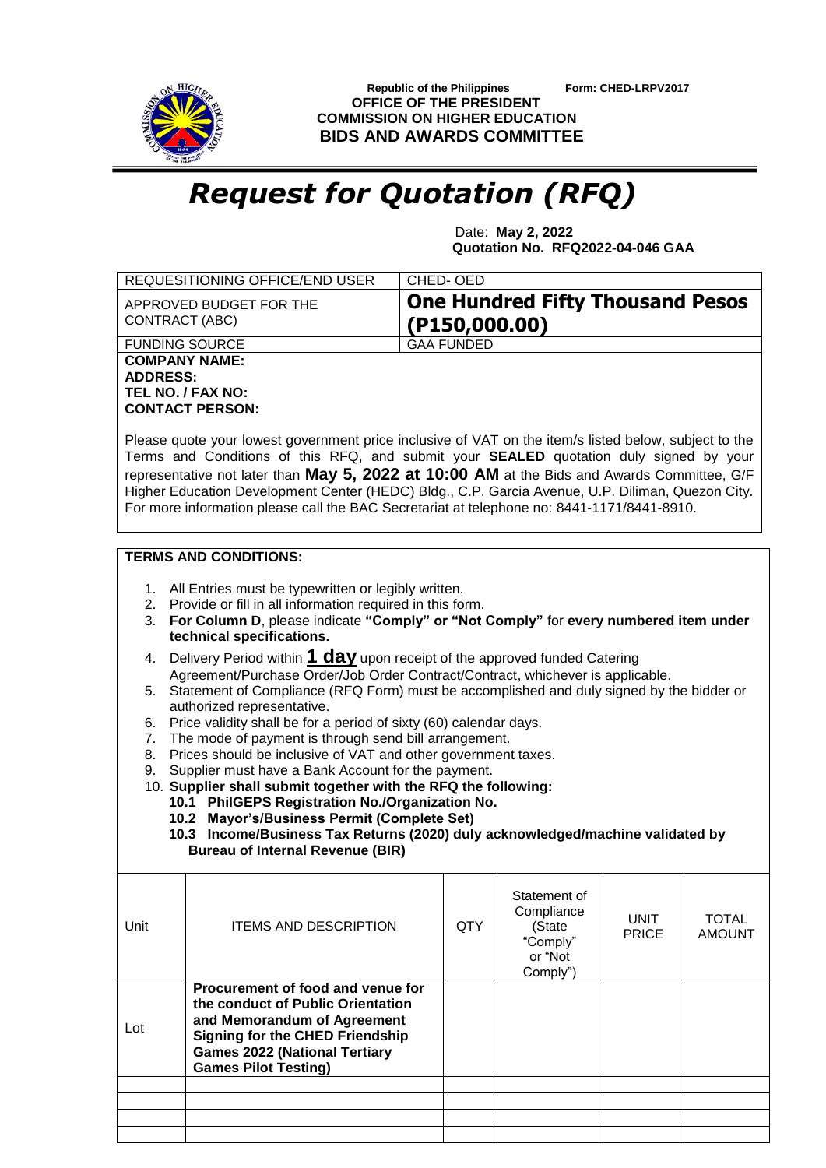

 **Republic of the Philippines Form: CHED-LRPV2017 OFFICE OF THE PRESIDENT COMMISSION ON HIGHER EDUCATION BIDS AND AWARDS COMMITTEE**

## *Request for Quotation (RFQ)*

 Date: **May 2, 2022 Quotation No. RFQ2022-04-046 GAA**

|                                                                                                                                                                                                                                                                                                                                                                                                                                                                                                                                                                                                                                                                                                                                                                                                                                                                                                                                                                                                                                                                                                                                   | REQUESITIONING OFFICE/END USER                                                                                                                                                                                         | CHED-OED          |                                                                         |                      |                               |  |  |
|-----------------------------------------------------------------------------------------------------------------------------------------------------------------------------------------------------------------------------------------------------------------------------------------------------------------------------------------------------------------------------------------------------------------------------------------------------------------------------------------------------------------------------------------------------------------------------------------------------------------------------------------------------------------------------------------------------------------------------------------------------------------------------------------------------------------------------------------------------------------------------------------------------------------------------------------------------------------------------------------------------------------------------------------------------------------------------------------------------------------------------------|------------------------------------------------------------------------------------------------------------------------------------------------------------------------------------------------------------------------|-------------------|-------------------------------------------------------------------------|----------------------|-------------------------------|--|--|
| CONTRACT (ABC)                                                                                                                                                                                                                                                                                                                                                                                                                                                                                                                                                                                                                                                                                                                                                                                                                                                                                                                                                                                                                                                                                                                    | APPROVED BUDGET FOR THE                                                                                                                                                                                                | (P150,000.00)     | <b>One Hundred Fifty Thousand Pesos</b>                                 |                      |                               |  |  |
| <b>FUNDING SOURCE</b>                                                                                                                                                                                                                                                                                                                                                                                                                                                                                                                                                                                                                                                                                                                                                                                                                                                                                                                                                                                                                                                                                                             |                                                                                                                                                                                                                        | <b>GAA FUNDED</b> |                                                                         |                      |                               |  |  |
| <b>COMPANY NAME:</b><br><b>ADDRESS:</b><br>TEL NO. / FAX NO:<br><b>CONTACT PERSON:</b><br>Please quote your lowest government price inclusive of VAT on the item/s listed below, subject to the<br>Terms and Conditions of this RFQ, and submit your SEALED quotation duly signed by your<br>representative not later than May 5, 2022 at 10:00 AM at the Bids and Awards Committee, G/F<br>Higher Education Development Center (HEDC) Bldg., C.P. Garcia Avenue, U.P. Diliman, Quezon City.<br>For more information please call the BAC Secretariat at telephone no: 8441-1171/8441-8910.                                                                                                                                                                                                                                                                                                                                                                                                                                                                                                                                        |                                                                                                                                                                                                                        |                   |                                                                         |                      |                               |  |  |
|                                                                                                                                                                                                                                                                                                                                                                                                                                                                                                                                                                                                                                                                                                                                                                                                                                                                                                                                                                                                                                                                                                                                   | <b>TERMS AND CONDITIONS:</b>                                                                                                                                                                                           |                   |                                                                         |                      |                               |  |  |
| 1. All Entries must be typewritten or legibly written.<br>2. Provide or fill in all information required in this form.<br>For Column D, please indicate "Comply" or "Not Comply" for every numbered item under<br>3.<br>technical specifications.<br>Delivery Period within 1 day upon receipt of the approved funded Catering<br>4.<br>Agreement/Purchase Order/Job Order Contract/Contract, whichever is applicable.<br>5. Statement of Compliance (RFQ Form) must be accomplished and duly signed by the bidder or<br>authorized representative.<br>Price validity shall be for a period of sixty (60) calendar days.<br>6.<br>The mode of payment is through send bill arrangement.<br>7.<br>Prices should be inclusive of VAT and other government taxes.<br>8.<br>Supplier must have a Bank Account for the payment.<br>9.<br>10. Supplier shall submit together with the RFQ the following:<br>10.1 PhilGEPS Registration No./Organization No.<br>10.2 Mayor's/Business Permit (Complete Set)<br>10.3 Income/Business Tax Returns (2020) duly acknowledged/machine validated by<br><b>Bureau of Internal Revenue (BIR)</b> |                                                                                                                                                                                                                        |                   |                                                                         |                      |                               |  |  |
| Unit                                                                                                                                                                                                                                                                                                                                                                                                                                                                                                                                                                                                                                                                                                                                                                                                                                                                                                                                                                                                                                                                                                                              | <b>ITEMS AND DESCRIPTION</b>                                                                                                                                                                                           | <b>QTY</b>        | Statement of<br>Compliance<br>(State<br>"Comply"<br>or "Not<br>Comply") | UNIT<br><b>PRICE</b> | <b>TOTAL</b><br><b>AMOUNT</b> |  |  |
| Lot                                                                                                                                                                                                                                                                                                                                                                                                                                                                                                                                                                                                                                                                                                                                                                                                                                                                                                                                                                                                                                                                                                                               | Procurement of food and venue for<br>the conduct of Public Orientation<br>and Memorandum of Agreement<br><b>Signing for the CHED Friendship</b><br><b>Games 2022 (National Tertiary</b><br><b>Games Pilot Testing)</b> |                   |                                                                         |                      |                               |  |  |
|                                                                                                                                                                                                                                                                                                                                                                                                                                                                                                                                                                                                                                                                                                                                                                                                                                                                                                                                                                                                                                                                                                                                   |                                                                                                                                                                                                                        |                   |                                                                         |                      |                               |  |  |
|                                                                                                                                                                                                                                                                                                                                                                                                                                                                                                                                                                                                                                                                                                                                                                                                                                                                                                                                                                                                                                                                                                                                   |                                                                                                                                                                                                                        |                   |                                                                         |                      |                               |  |  |
|                                                                                                                                                                                                                                                                                                                                                                                                                                                                                                                                                                                                                                                                                                                                                                                                                                                                                                                                                                                                                                                                                                                                   |                                                                                                                                                                                                                        |                   |                                                                         |                      |                               |  |  |
|                                                                                                                                                                                                                                                                                                                                                                                                                                                                                                                                                                                                                                                                                                                                                                                                                                                                                                                                                                                                                                                                                                                                   |                                                                                                                                                                                                                        |                   |                                                                         |                      |                               |  |  |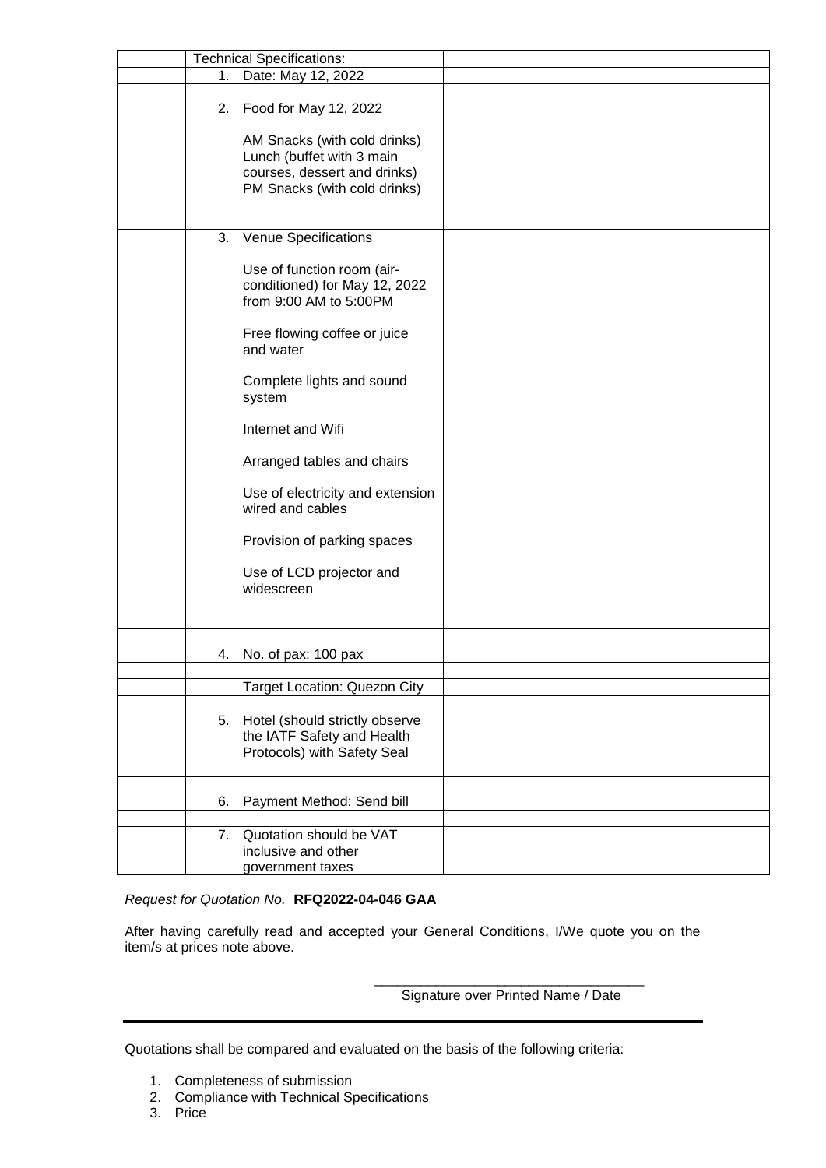| <b>Technical Specifications:</b>                                                                                          |  |  |
|---------------------------------------------------------------------------------------------------------------------------|--|--|
| Date: May 12, 2022<br>1.                                                                                                  |  |  |
|                                                                                                                           |  |  |
| 2.<br>Food for May 12, 2022                                                                                               |  |  |
| AM Snacks (with cold drinks)<br>Lunch (buffet with 3 main<br>courses, dessert and drinks)<br>PM Snacks (with cold drinks) |  |  |
|                                                                                                                           |  |  |
| 3.<br><b>Venue Specifications</b>                                                                                         |  |  |
| Use of function room (air-<br>conditioned) for May 12, 2022<br>from 9:00 AM to 5:00PM                                     |  |  |
| Free flowing coffee or juice<br>and water                                                                                 |  |  |
| Complete lights and sound<br>system                                                                                       |  |  |
| Internet and Wifi                                                                                                         |  |  |
| Arranged tables and chairs                                                                                                |  |  |
| Use of electricity and extension<br>wired and cables                                                                      |  |  |
| Provision of parking spaces                                                                                               |  |  |
| Use of LCD projector and<br>widescreen                                                                                    |  |  |
|                                                                                                                           |  |  |
|                                                                                                                           |  |  |
| No. of pax: 100 pax<br>4.                                                                                                 |  |  |
| <b>Target Location: Quezon City</b>                                                                                       |  |  |
|                                                                                                                           |  |  |
| Hotel (should strictly observe<br>5.<br>the IATF Safety and Health<br>Protocols) with Safety Seal                         |  |  |
| Payment Method: Send bill<br>6.                                                                                           |  |  |
| Quotation should be VAT<br>7.<br>inclusive and other<br>government taxes                                                  |  |  |

## *Request for Quotation No.* **RFQ2022-04-046 GAA**

After having carefully read and accepted your General Conditions, I/We quote you on the item/s at prices note above.

> \_\_\_\_\_\_\_\_\_\_\_\_\_\_\_\_\_\_\_\_\_\_\_\_\_\_\_\_\_\_\_\_\_\_\_ Signature over Printed Name / Date

Quotations shall be compared and evaluated on the basis of the following criteria:

- 1. Completeness of submission
- 2. Compliance with Technical Specifications
- 3. Price